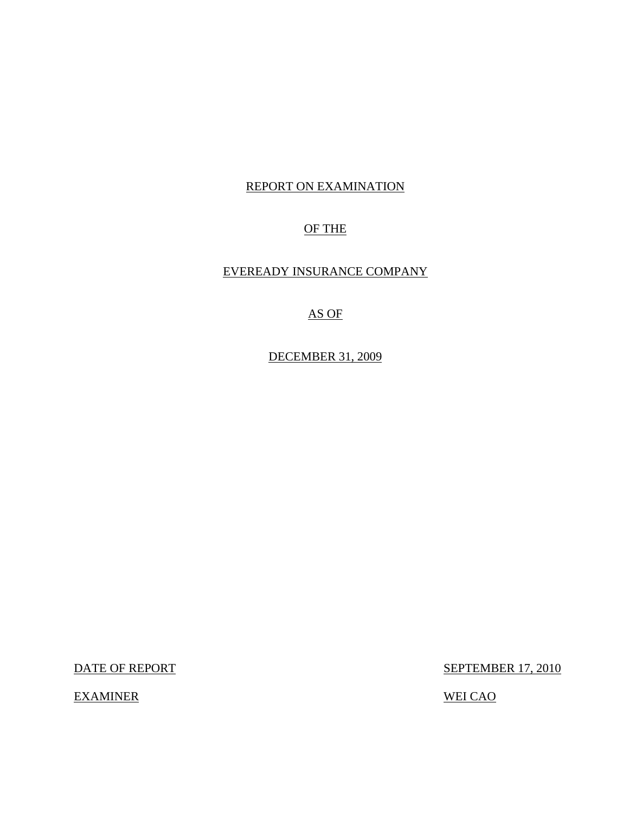#### REPORT ON EXAMINATION

### OF THE

### EVEREADY INSURANCE COMPANY

## AS OF

DECEMBER 31, 2009

EXAMINER WEI CAO

DATE OF REPORT SEPTEMBER 17, 2010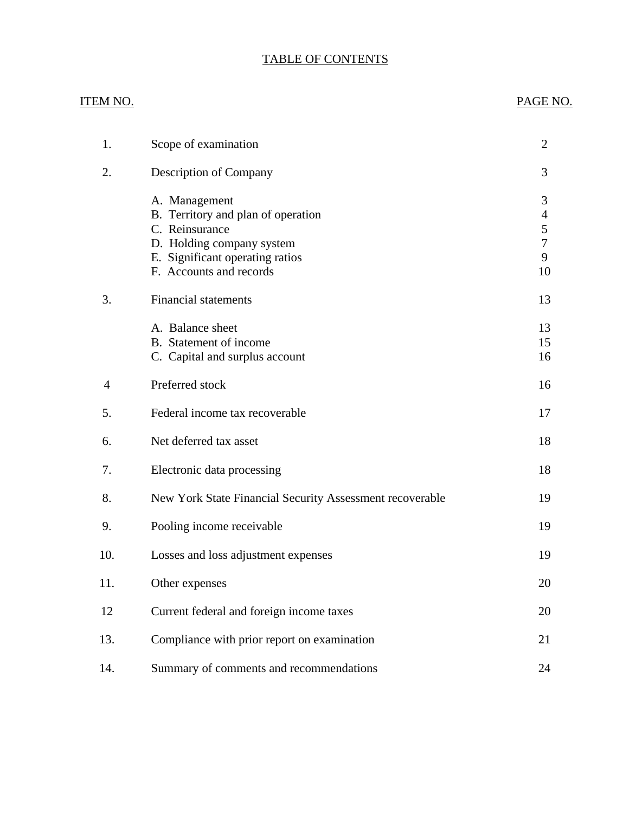## TABLE OF CONTENTS

# ITEM NO. PAGE NO. [1. Scope of examination 2](#page-3-0) [2. Description of Company 3](#page-4-0) [A. Management 3](#page-4-0) [B. Territory and plan of operation 4](#page-5-0) [C. Reinsurance 5](#page-6-0) [D. Holding company system 7](#page-8-0) E. Significant operating ratios 9 [F. Accounts and records 10](#page-11-0) 3. Financial statements 13 A. Balance sheet 13 B. Statement of income 15 C. Capital and surplus account 16 4 Preferred stock 16 5. Federal income tax recoverable 17 6. Net deferred tax asset 18 7. Electronic data processing 18 [8. New York State Financial Security Assessment recoverable 19](#page-20-0) [9. Pooling income receivable 19](#page-20-0) [10. Losses and loss adjustment expenses 19](#page-20-0) [11. Other expenses 20](#page-21-0) [12 Current federal and foreign income taxes 20](#page-21-0)

[14. Summary of comments and recommendations 24](#page-25-0)

13. Compliance with prior report on examination 21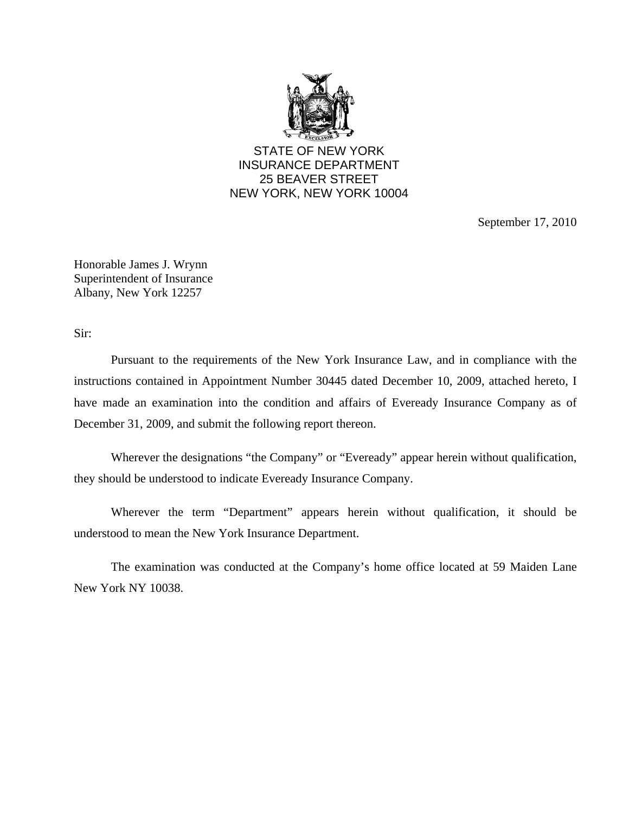

STATE OF NEW YORK INSURANCE DEPARTMENT 25 BEAVER STREET NEW YORK, NEW YORK 10004

September 17, 2010

Honorable James J. Wrynn Superintendent of Insurance Albany, New York 12257

Sir:

Pursuant to the requirements of the New York Insurance Law, and in compliance with the instructions contained in Appointment Number 30445 dated December 10, 2009, attached hereto, I have made an examination into the condition and affairs of Eveready Insurance Company as of December 31, 2009, and submit the following report thereon.

Wherever the designations "the Company" or "Eveready" appear herein without qualification, they should be understood to indicate Eveready Insurance Company.

Wherever the term "Department" appears herein without qualification, it should be understood to mean the New York Insurance Department.

The examination was conducted at the Company's home office located at 59 Maiden Lane New York NY 10038.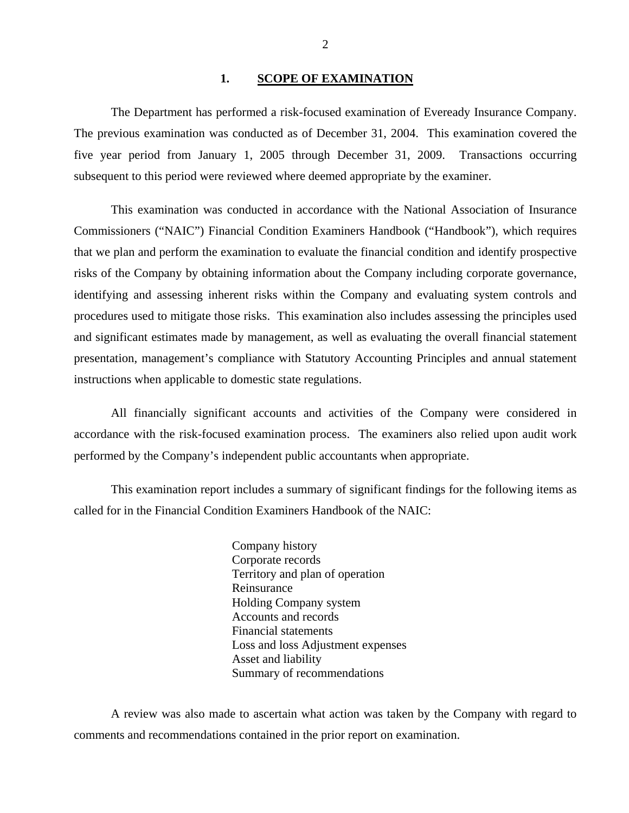#### 1. SCOPE OF EXAMINATION

<span id="page-3-0"></span>The Department has performed a risk-focused examination of Eveready Insurance Company. The previous examination was conducted as of December 31, 2004. This examination covered the five year period from January 1, 2005 through December 31, 2009. Transactions occurring subsequent to this period were reviewed where deemed appropriate by the examiner.

This examination was conducted in accordance with the National Association of Insurance Commissioners ("NAIC") Financial Condition Examiners Handbook ("Handbook"), which requires that we plan and perform the examination to evaluate the financial condition and identify prospective risks of the Company by obtaining information about the Company including corporate governance, identifying and assessing inherent risks within the Company and evaluating system controls and procedures used to mitigate those risks. This examination also includes assessing the principles used and significant estimates made by management, as well as evaluating the overall financial statement presentation, management's compliance with Statutory Accounting Principles and annual statement instructions when applicable to domestic state regulations.

All financially significant accounts and activities of the Company were considered in accordance with the risk-focused examination process. The examiners also relied upon audit work performed by the Company's independent public accountants when appropriate.

This examination report includes a summary of significant findings for the following items as called for in the Financial Condition Examiners Handbook of the NAIC:

> Company history Corporate records Territory and plan of operation Reinsurance Holding Company system Accounts and records Financial statements Loss and loss Adjustment expenses Asset and liability Summary of recommendations

A review was also made to ascertain what action was taken by the Company with regard to comments and recommendations contained in the prior report on examination.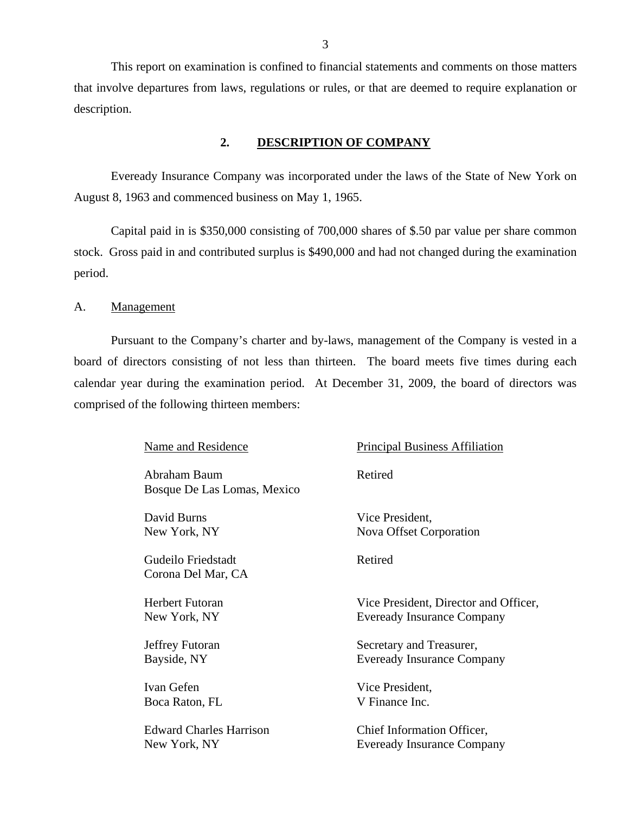<span id="page-4-0"></span>This report on examination is confined to financial statements and comments on those matters that involve departures from laws, regulations or rules, or that are deemed to require explanation or description.

#### **2. DESCRIPTION OF COMPANY**

Eveready Insurance Company was incorporated under the laws of the State of New York on August 8, 1963 and commenced business on May 1, 1965.

Capital paid in is \$350,000 consisting of 700,000 shares of \$.50 par value per share common stock. Gross paid in and contributed surplus is \$490,000 and had not changed during the examination period.

A. Management

Pursuant to the Company's charter and by-laws, management of the Company is vested in a board of directors consisting of not less than thirteen. The board meets five times during each calendar year during the examination period. At December 31, 2009, the board of directors was comprised of the following thirteen members:

Name and Residence

Abraham Baum Bosque De Las Lomas, Mexico

David Burns New York, NY

Gudeilo Friedstadt Corona Del Mar, CA

Herbert Futoran New York, NY

Jeffrey Futoran Bayside, NY

Ivan Gefen Boca Raton, FL

Edward Charles Harrison New York, NY

Principal Business Affiliation

Retired

Vice President, Nova Offset Corporation

Retired

Vice President, Director and Officer, Eveready Insurance Company

Secretary and Treasurer, Eveready Insurance Company

Vice President, V Finance Inc.

Chief Information Officer, Eveready Insurance Company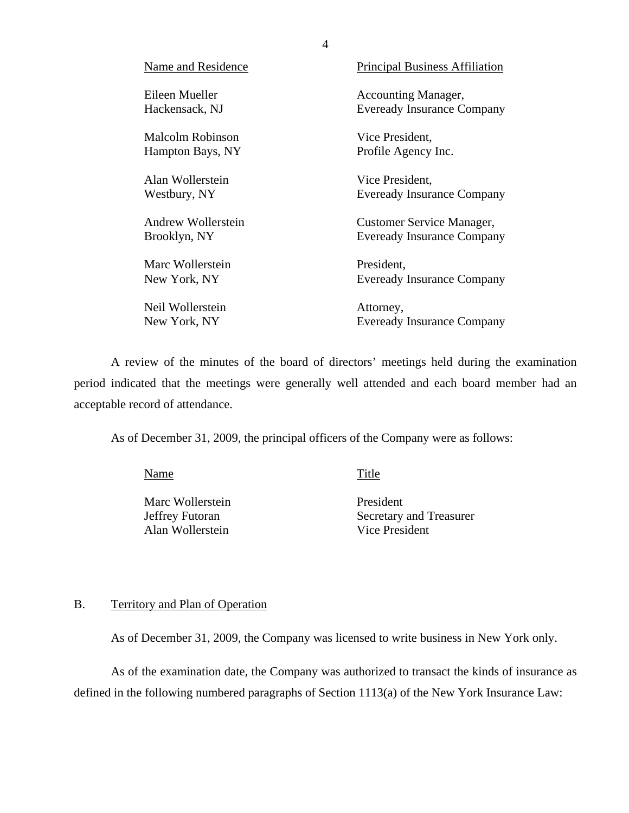<span id="page-5-0"></span>

| Name and Residence | <b>Principal Business Affiliation</b> |
|--------------------|---------------------------------------|
| Eileen Mueller     | <b>Accounting Manager,</b>            |
| Hackensack, NJ     | <b>Eveready Insurance Company</b>     |
| Malcolm Robinson   | Vice President,                       |
| Hampton Bays, NY   | Profile Agency Inc.                   |
| Alan Wollerstein   | Vice President,                       |
| Westbury, NY       | <b>Eveready Insurance Company</b>     |
| Andrew Wollerstein | Customer Service Manager,             |
| Brooklyn, NY       | <b>Eveready Insurance Company</b>     |
| Marc Wollerstein   | President,                            |
| New York, NY       | <b>Eveready Insurance Company</b>     |
| Neil Wollerstein   | Attorney,                             |
| New York, NY       | <b>Eveready Insurance Company</b>     |

A review of the minutes of the board of directors' meetings held during the examination period indicated that the meetings were generally well attended and each board member had an acceptable record of attendance.

As of December 31, 2009, the principal officers of the Company were as follows:

Name Title

Marc Wollerstein President Alan Wollerstein Vice President

Jeffrey Futoran Secretary and Treasurer

## B. Territory and Plan of Operation

As of December 31, 2009, the Company was licensed to write business in New York only.

As of the examination date, the Company was authorized to transact the kinds of insurance as defined in the following numbered paragraphs of Section 1113(a) of the New York Insurance Law: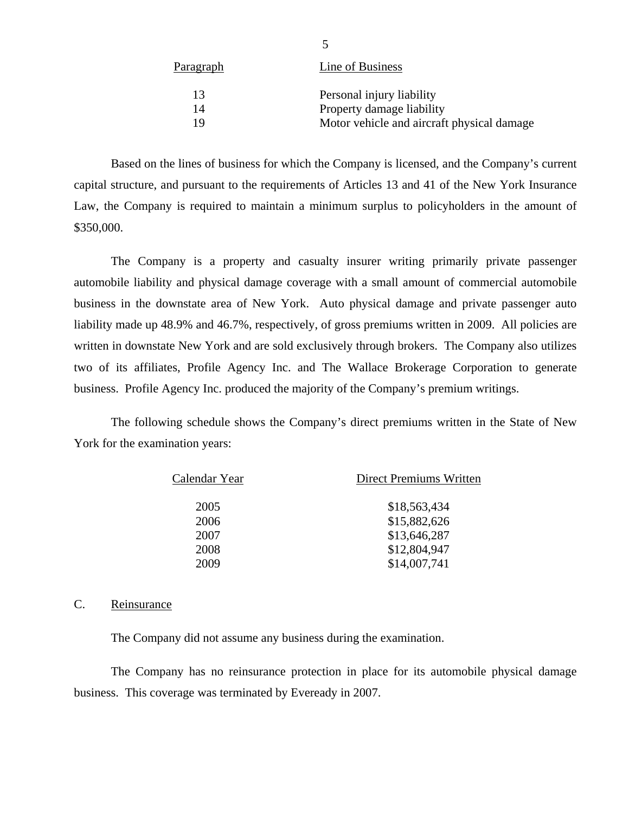| <u>Paragraph</u> | Line of Business                           |
|------------------|--------------------------------------------|
| 13               | Personal injury liability                  |
| 14               | Property damage liability                  |
| 19               | Motor vehicle and aircraft physical damage |
|                  |                                            |

<span id="page-6-0"></span>Based on the lines of business for which the Company is licensed, and the Company's current capital structure, and pursuant to the requirements of Articles 13 and 41 of the New York Insurance Law, the Company is required to maintain a minimum surplus to policyholders in the amount of \$350,000.

The Company is a property and casualty insurer writing primarily private passenger automobile liability and physical damage coverage with a small amount of commercial automobile business in the downstate area of New York. Auto physical damage and private passenger auto liability made up 48.9% and 46.7%, respectively, of gross premiums written in 2009. All policies are written in downstate New York and are sold exclusively through brokers. The Company also utilizes two of its affiliates, Profile Agency Inc. and The Wallace Brokerage Corporation to generate business. Profile Agency Inc. produced the majority of the Company's premium writings.

The following schedule shows the Company's direct premiums written in the State of New York for the examination years:

| Calendar Year | <b>Direct Premiums Written</b> |
|---------------|--------------------------------|
| 2005          | \$18,563,434                   |
| 2006          | \$15,882,626                   |
| 2007          | \$13,646,287                   |
| 2008          | \$12,804,947                   |
| 2009          | \$14,007,741                   |

#### C. Reinsurance

The Company did not assume any business during the examination.

The Company has no reinsurance protection in place for its automobile physical damage business. This coverage was terminated by Eveready in 2007.

5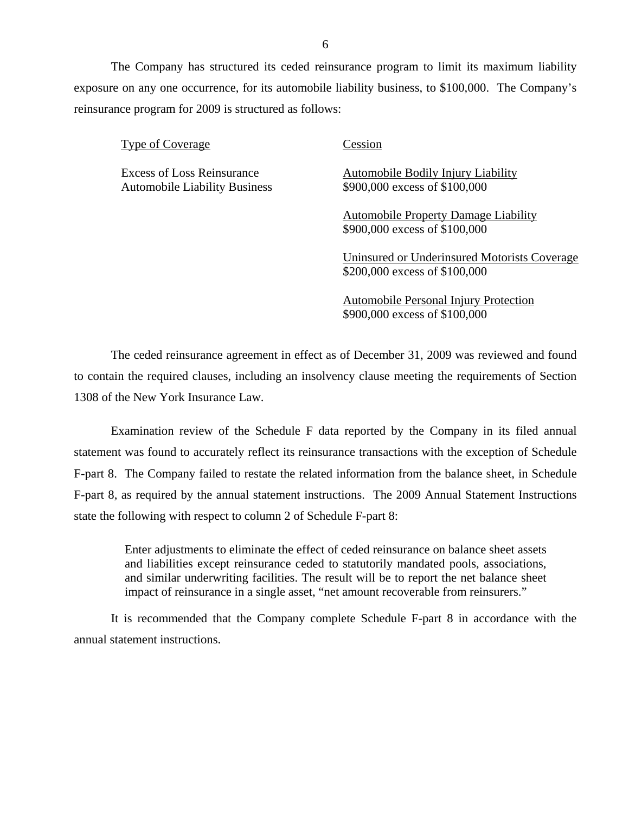The Company has structured its ceded reinsurance program to limit its maximum liability exposure on any one occurrence, for its automobile liability business, to \$100,000. The Company's reinsurance program for 2009 is structured as follows:

Type of Coverage Cession

Automobile Liability Business  $$900,000$  excess of \$100,000

Excess of Loss Reinsurance Automobile Bodily Injury Liability

Automobile Property Damage Liability \$900,000 excess of \$100,000

Uninsured or Underinsured Motorists Coverage \$200,000 excess of \$100,000

Automobile Personal Injury Protection \$900,000 excess of \$100,000

The ceded reinsurance agreement in effect as of December 31, 2009 was reviewed and found to contain the required clauses, including an insolvency clause meeting the requirements of Section 1308 of the New York Insurance Law.

Examination review of the Schedule F data reported by the Company in its filed annual statement was found to accurately reflect its reinsurance transactions with the exception of Schedule F-part 8. The Company failed to restate the related information from the balance sheet, in Schedule F-part 8, as required by the annual statement instructions. The 2009 Annual Statement Instructions state the following with respect to column 2 of Schedule F-part 8:

Enter adjustments to eliminate the effect of ceded reinsurance on balance sheet assets and liabilities except reinsurance ceded to statutorily mandated pools, associations, and similar underwriting facilities. The result will be to report the net balance sheet impact of reinsurance in a single asset, "net amount recoverable from reinsurers."

It is recommended that the Company complete Schedule F-part 8 in accordance with the annual statement instructions.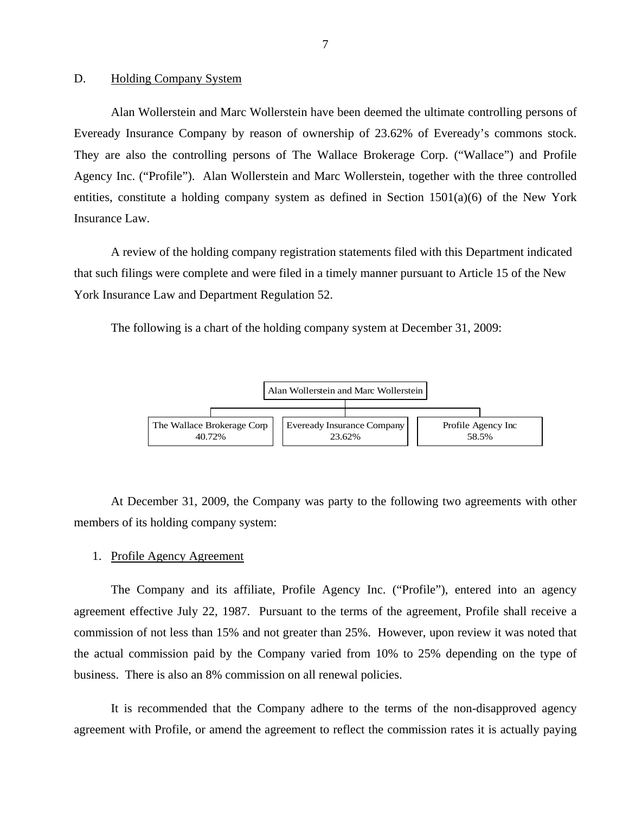#### <span id="page-8-0"></span>D. Holding Company System

Alan Wollerstein and Marc Wollerstein have been deemed the ultimate controlling persons of Eveready Insurance Company by reason of ownership of 23.62% of Eveready's commons stock. They are also the controlling persons of The Wallace Brokerage Corp. ("Wallace") and Profile Agency Inc. ("Profile"). Alan Wollerstein and Marc Wollerstein, together with the three controlled entities, constitute a holding company system as defined in Section  $1501(a)(6)$  of the New York Insurance Law.

A review of the holding company registration statements filed with this Department indicated that such filings were complete and were filed in a timely manner pursuant to Article 15 of the New York Insurance Law and Department Regulation 52.

The following is a chart of the holding company system at December 31, 2009:



At December 31, 2009, the Company was party to the following two agreements with other members of its holding company system:

#### 1. Profile Agency Agreement

The Company and its affiliate, Profile Agency Inc. ("Profile"), entered into an agency agreement effective July 22, 1987. Pursuant to the terms of the agreement, Profile shall receive a commission of not less than 15% and not greater than 25%. However, upon review it was noted that the actual commission paid by the Company varied from 10% to 25% depending on the type of business. There is also an 8% commission on all renewal policies.

It is recommended that the Company adhere to the terms of the non-disapproved agency agreement with Profile, or amend the agreement to reflect the commission rates it is actually paying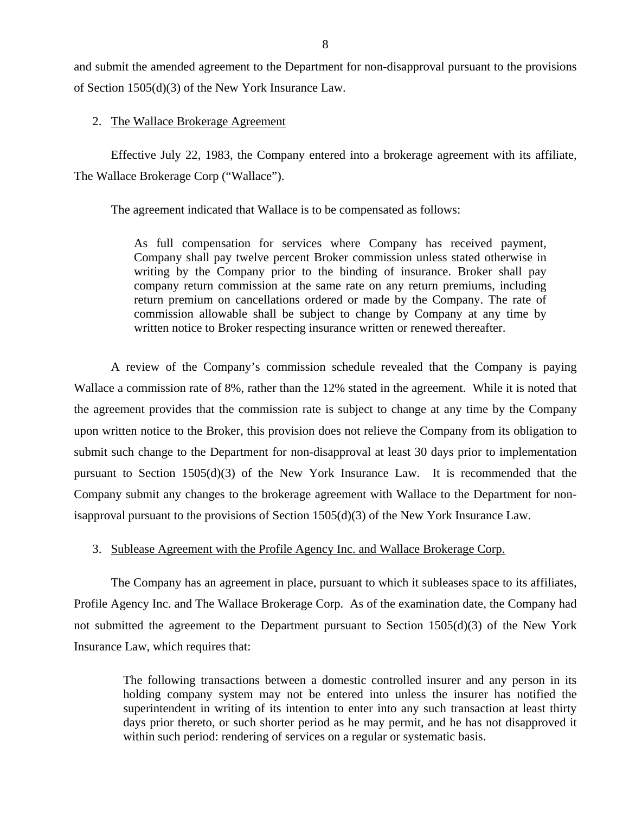and submit the amended agreement to the Department for non-disapproval pursuant to the provisions of Section 1505(d)(3) of the New York Insurance Law.

#### 2. The Wallace Brokerage Agreement

Effective July 22, 1983, the Company entered into a brokerage agreement with its affiliate, The Wallace Brokerage Corp ("Wallace").

The agreement indicated that Wallace is to be compensated as follows:

As full compensation for services where Company has received payment, Company shall pay twelve percent Broker commission unless stated otherwise in writing by the Company prior to the binding of insurance. Broker shall pay company return commission at the same rate on any return premiums, including return premium on cancellations ordered or made by the Company. The rate of commission allowable shall be subject to change by Company at any time by written notice to Broker respecting insurance written or renewed thereafter.

A review of the Company's commission schedule revealed that the Company is paying Wallace a commission rate of 8%, rather than the 12% stated in the agreement. While it is noted that the agreement provides that the commission rate is subject to change at any time by the Company upon written notice to the Broker, this provision does not relieve the Company from its obligation to submit such change to the Department for non-disapproval at least 30 days prior to implementation pursuant to Section 1505(d)(3) of the New York Insurance Law. It is recommended that the Company submit any changes to the brokerage agreement with Wallace to the Department for nonisapproval pursuant to the provisions of Section 1505(d)(3) of the New York Insurance Law.

#### 3. Sublease Agreement with the Profile Agency Inc. and Wallace Brokerage Corp.

The Company has an agreement in place, pursuant to which it subleases space to its affiliates, Profile Agency Inc. and The Wallace Brokerage Corp. As of the examination date, the Company had not submitted the agreement to the Department pursuant to Section 1505(d)(3) of the New York Insurance Law, which requires that:

The following transactions between a domestic controlled insurer and any person in its holding company system may not be entered into unless the insurer has notified the superintendent in writing of its intention to enter into any such transaction at least thirty days prior thereto, or such shorter period as he may permit, and he has not disapproved it within such period: rendering of services on a regular or systematic basis.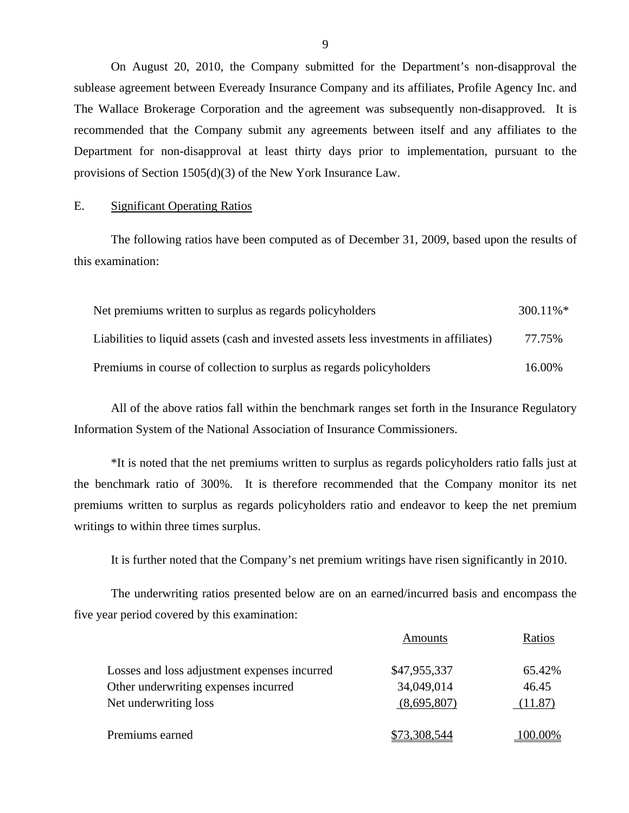On August 20, 2010, the Company submitted for the Department's non-disapproval the sublease agreement between Eveready Insurance Company and its affiliates, Profile Agency Inc. and The Wallace Brokerage Corporation and the agreement was subsequently non-disapproved. It is recommended that the Company submit any agreements between itself and any affiliates to the Department for non-disapproval at least thirty days prior to implementation, pursuant to the provisions of Section 1505(d)(3) of the New York Insurance Law.

#### E. Significant Operating Ratios

The following ratios have been computed as of December 31, 2009, based upon the results of this examination:

| Net premiums written to surplus as regards policyholders                               | $300.11\%$ <sup>*</sup> |
|----------------------------------------------------------------------------------------|-------------------------|
| Liabilities to liquid assets (cash and invested assets less investments in affiliates) | 77.75%                  |
| Premiums in course of collection to surplus as regards policyholders                   | 16.00%                  |

All of the above ratios fall within the benchmark ranges set forth in the Insurance Regulatory Information System of the National Association of Insurance Commissioners.

\*It is noted that the net premiums written to surplus as regards policyholders ratio falls just at the benchmark ratio of 300%. It is therefore recommended that the Company monitor its net premiums written to surplus as regards policyholders ratio and endeavor to keep the net premium writings to within three times surplus.

It is further noted that the Company's net premium writings have risen significantly in 2010.

The underwriting ratios presented below are on an earned/incurred basis and encompass the five year period covered by this examination:

|                                              | Amounts      | Ratios  |
|----------------------------------------------|--------------|---------|
| Losses and loss adjustment expenses incurred | \$47,955,337 | 65.42%  |
| Other underwriting expenses incurred         | 34,049,014   | 46.45   |
| Net underwriting loss                        | (8,695,807)  | (11.87) |
| Premiums earned                              | \$73,308,544 | 00.00%  |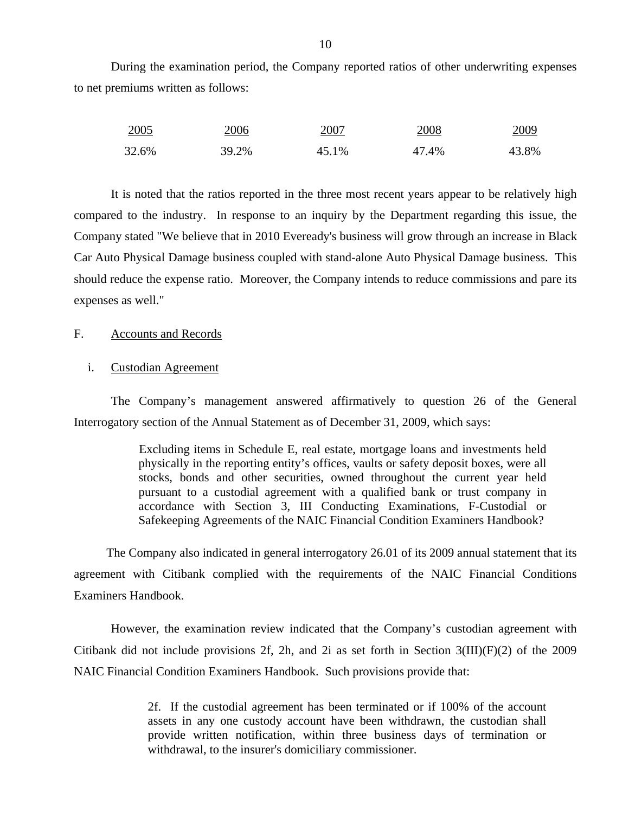<span id="page-11-0"></span>During the examination period, the Company reported ratios of other underwriting expenses to net premiums written as follows:

| <u>2005</u> | 2006  | 2007  | 2008  | 2009  |
|-------------|-------|-------|-------|-------|
| 32.6%       | 39.2% | 45.1% | 47.4% | 43.8% |

It is noted that the ratios reported in the three most recent years appear to be relatively high compared to the industry. In response to an inquiry by the Department regarding this issue, the Company stated "We believe that in 2010 Eveready's business will grow through an increase in Black Car Auto Physical Damage business coupled with stand-alone Auto Physical Damage business. This should reduce the expense ratio. Moreover, the Company intends to reduce commissions and pare its expenses as well."

#### F. Accounts and Records

#### i. Custodian Agreement

The Company's management answered affirmatively to question 26 of the General Interrogatory section of the Annual Statement as of December 31, 2009, which says:

> Excluding items in Schedule E, real estate, mortgage loans and investments held physically in the reporting entity's offices, vaults or safety deposit boxes, were all stocks, bonds and other securities, owned throughout the current year held pursuant to a custodial agreement with a qualified bank or trust company in accordance with Section 3, III Conducting Examinations, F-Custodial or Safekeeping Agreements of the NAIC Financial Condition Examiners Handbook?

The Company also indicated in general interrogatory 26.01 of its 2009 annual statement that its agreement with Citibank complied with the requirements of the NAIC Financial Conditions Examiners Handbook.

However, the examination review indicated that the Company's custodian agreement with Citibank did not include provisions 2f, 2h, and 2i as set forth in Section 3(III)(F)(2) of the 2009 NAIC Financial Condition Examiners Handbook. Such provisions provide that:

> 2f. If the custodial agreement has been terminated or if 100% of the account assets in any one custody account have been withdrawn, the custodian shall provide written notification, within three business days of termination or withdrawal, to the insurer's domiciliary commissioner.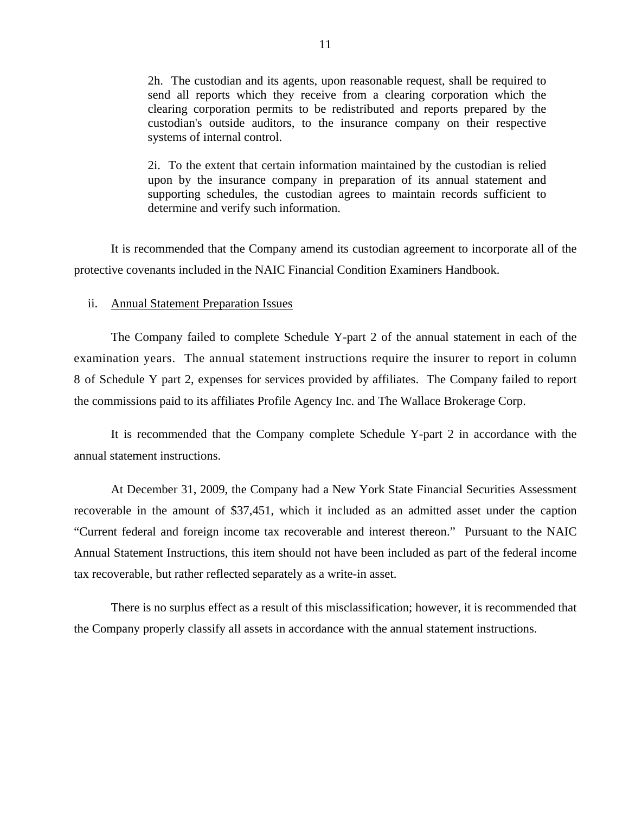2h. The custodian and its agents, upon reasonable request, shall be required to send all reports which they receive from a clearing corporation which the clearing corporation permits to be redistributed and reports prepared by the custodian's outside auditors, to the insurance company on their respective systems of internal control.

2i. To the extent that certain information maintained by the custodian is relied upon by the insurance company in preparation of its annual statement and supporting schedules, the custodian agrees to maintain records sufficient to determine and verify such information.

It is recommended that the Company amend its custodian agreement to incorporate all of the protective covenants included in the NAIC Financial Condition Examiners Handbook.

#### ii. Annual Statement Preparation Issues

The Company failed to complete Schedule Y-part 2 of the annual statement in each of the examination years. The annual statement instructions require the insurer to report in column 8 of Schedule Y part 2, expenses for services provided by affiliates. The Company failed to report the commissions paid to its affiliates Profile Agency Inc. and The Wallace Brokerage Corp.

It is recommended that the Company complete Schedule Y-part 2 in accordance with the annual statement instructions.

At December 31, 2009, the Company had a New York State Financial Securities Assessment recoverable in the amount of \$37,451, which it included as an admitted asset under the caption "Current federal and foreign income tax recoverable and interest thereon." Pursuant to the NAIC Annual Statement Instructions, this item should not have been included as part of the federal income tax recoverable, but rather reflected separately as a write-in asset.

There is no surplus effect as a result of this misclassification; however, it is recommended that the Company properly classify all assets in accordance with the annual statement instructions.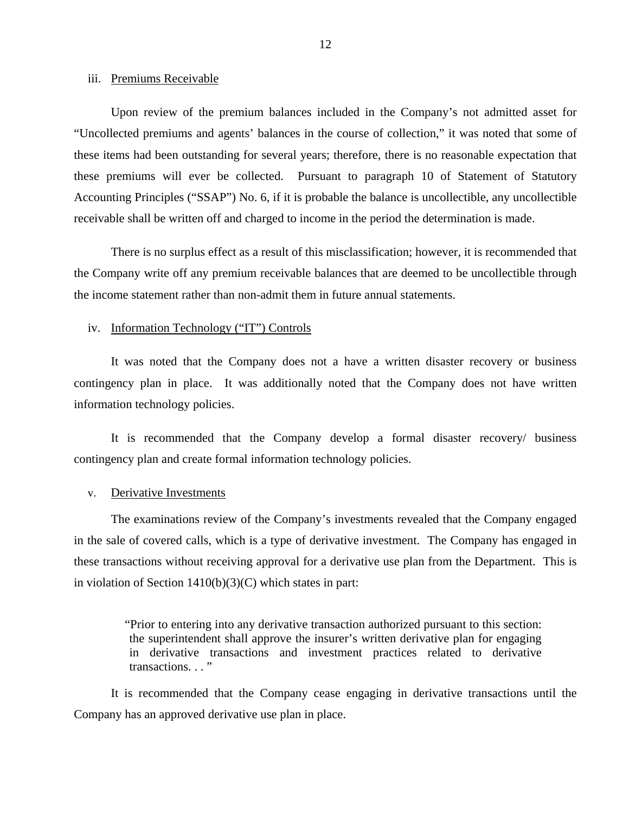#### iii. Premiums Receivable

Upon review of the premium balances included in the Company's not admitted asset for "Uncollected premiums and agents' balances in the course of collection," it was noted that some of these items had been outstanding for several years; therefore, there is no reasonable expectation that these premiums will ever be collected. Pursuant to paragraph 10 of Statement of Statutory Accounting Principles ("SSAP") No. 6, if it is probable the balance is uncollectible, any uncollectible receivable shall be written off and charged to income in the period the determination is made.

There is no surplus effect as a result of this misclassification; however, it is recommended that the Company write off any premium receivable balances that are deemed to be uncollectible through the income statement rather than non-admit them in future annual statements.

#### iv. Information Technology ("IT") Controls

It was noted that the Company does not a have a written disaster recovery or business contingency plan in place. It was additionally noted that the Company does not have written information technology policies.

It is recommended that the Company develop a formal disaster recovery/ business contingency plan and create formal information technology policies.

#### v. Derivative Investments

The examinations review of the Company's investments revealed that the Company engaged in the sale of covered calls, which is a type of derivative investment. The Company has engaged in these transactions without receiving approval for a derivative use plan from the Department. This is in violation of Section  $1410(b)(3)(C)$  which states in part:

> "Prior to entering into any derivative transaction authorized pursuant to this section: the superintendent shall approve the insurer's written derivative plan for engaging in derivative transactions and investment practices related to derivative transactions. . . "

It is recommended that the Company cease engaging in derivative transactions until the Company has an approved derivative use plan in place.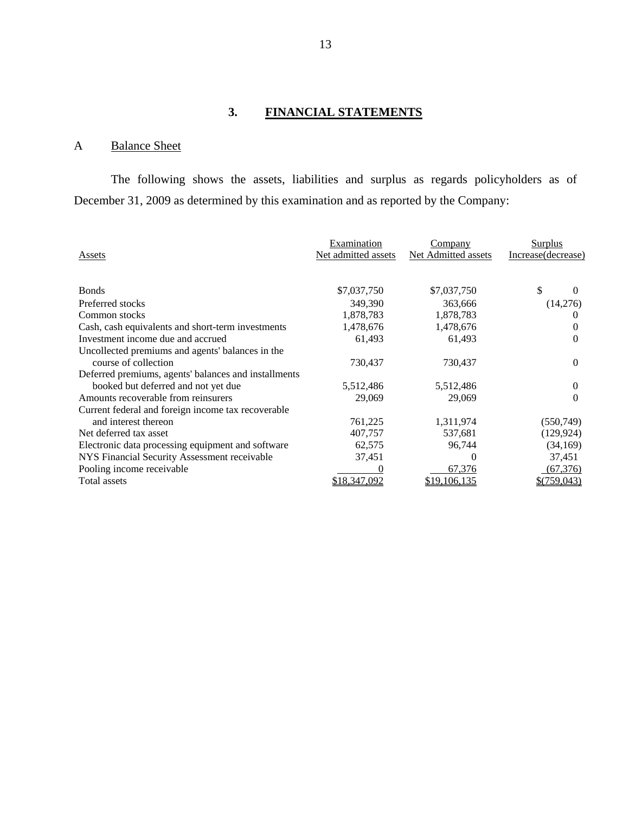## **3. FINANCIAL STATEMENTS**

## A Balance Sheet

The following shows the assets, liabilities and surplus as regards policyholders as of December 31, 2009 as determined by this examination and as reported by the Company:

| Assets                                               | Examination<br>Net admitted assets | Company<br>Net Admitted assets | Surplus<br>Increase(decrease) |
|------------------------------------------------------|------------------------------------|--------------------------------|-------------------------------|
| <b>Bonds</b>                                         | \$7,037,750                        | \$7,037,750                    | \$<br>$\theta$                |
| Preferred stocks                                     | 349,390                            | 363,666                        | (14,276)                      |
| Common stocks                                        | 1,878,783                          | 1,878,783                      | 0                             |
| Cash, cash equivalents and short-term investments    | 1,478,676                          | 1,478,676                      | 0                             |
| Investment income due and accrued                    | 61,493                             | 61,493                         |                               |
| Uncollected premiums and agents' balances in the     |                                    |                                |                               |
| course of collection                                 | 730,437                            | 730,437                        | $\theta$                      |
| Deferred premiums, agents' balances and installments |                                    |                                |                               |
| booked but deferred and not yet due                  | 5,512,486                          | 5,512,486                      | $\theta$                      |
| Amounts recoverable from reinsurers                  | 29,069                             | 29,069                         | 0                             |
| Current federal and foreign income tax recoverable   |                                    |                                |                               |
| and interest thereon                                 | 761,225                            | 1,311,974                      | (550, 749)                    |
| Net deferred tax asset                               | 407,757                            | 537,681                        | (129, 924)                    |
| Electronic data processing equipment and software    | 62,575                             | 96,744                         | (34, 169)                     |
| NYS Financial Security Assessment receivable         | 37,451                             | $\theta$                       | 37,451                        |
| Pooling income receivable                            |                                    | 67,376                         | (67, 376)                     |
| <b>Total assets</b>                                  | \$18,347,092                       | 19,106,135                     | \$(759,043)                   |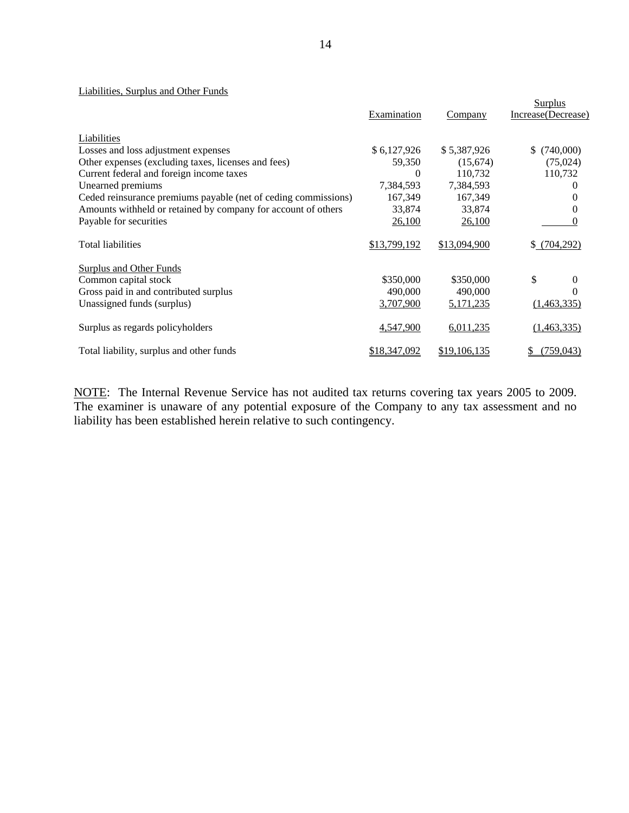#### Liabilities, Surplus and Other Funds

|                                                                | Examination  | Company             | Surplus<br>Increase(Decrease) |
|----------------------------------------------------------------|--------------|---------------------|-------------------------------|
| Liabilities                                                    |              |                     |                               |
| Losses and loss adjustment expenses                            | \$6,127,926  | \$5,387,926         | (740,000)<br>\$.              |
| Other expenses (excluding taxes, licenses and fees)            | 59,350       | (15,674)            | (75,024)                      |
| Current federal and foreign income taxes                       | $\Omega$     | 110,732             | 110,732                       |
| Unearned premiums                                              | 7,384,593    | 7,384,593           | $\theta$                      |
| Ceded reinsurance premiums payable (net of ceding commissions) | 167,349      | 167,349             | 0                             |
| Amounts withheld or retained by company for account of others  | 33,874       | 33,874              | 0                             |
| Payable for securities                                         | 26,100       | 26,100              | $\Omega$                      |
| <b>Total liabilities</b>                                       | \$13,799,192 | \$13,094,900        | \$(704,292)                   |
| Surplus and Other Funds                                        |              |                     |                               |
| Common capital stock                                           | \$350,000    | \$350,000           | \$<br>$\theta$                |
| Gross paid in and contributed surplus                          | 490,000      | 490,000             | $\Omega$                      |
| Unassigned funds (surplus)                                     | 3,707,900    | <u>5,171,235</u>    | (1,463,335)                   |
| Surplus as regards policyholders                               | 4,547,900    | 6,011,235           | (1,463,335)                   |
| Total liability, surplus and other funds                       | \$18,347,092 | <u>\$19,106,135</u> | (759, 043)                    |

NOTE: The Internal Revenue Service has not audited tax returns covering tax years 2005 to 2009. The examiner is unaware of any potential exposure of the Company to any tax assessment and no liability has been established herein relative to such contingency.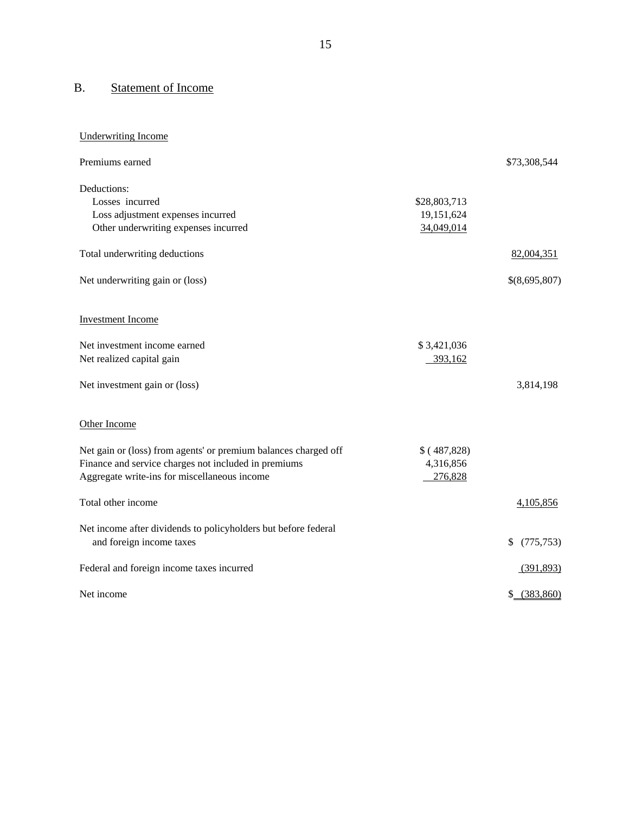## B. Statement of Income

| <b>Underwriting Income</b>                                                                 |              |                  |
|--------------------------------------------------------------------------------------------|--------------|------------------|
| Premiums earned                                                                            |              | \$73,308,544     |
| Deductions:                                                                                |              |                  |
| Losses incurred                                                                            | \$28,803,713 |                  |
| Loss adjustment expenses incurred                                                          | 19,151,624   |                  |
| Other underwriting expenses incurred                                                       | 34,049,014   |                  |
| Total underwriting deductions                                                              |              | 82,004,351       |
| Net underwriting gain or (loss)                                                            |              | \$(8,695,807)    |
| <b>Investment Income</b>                                                                   |              |                  |
| Net investment income earned                                                               | \$3,421,036  |                  |
| Net realized capital gain                                                                  | 393,162      |                  |
|                                                                                            |              |                  |
| Net investment gain or (loss)                                                              |              | 3,814,198        |
| Other Income                                                                               |              |                  |
| Net gain or (loss) from agents' or premium balances charged off                            | \$(487,828)  |                  |
| Finance and service charges not included in premiums                                       | 4,316,856    |                  |
| Aggregate write-ins for miscellaneous income                                               | 276,828      |                  |
| Total other income                                                                         |              | 4,105,856        |
|                                                                                            |              |                  |
| Net income after dividends to policyholders but before federal<br>and foreign income taxes |              | (775, 753)<br>\$ |
|                                                                                            |              |                  |
| Federal and foreign income taxes incurred                                                  |              | (391,893)        |
| Net income                                                                                 |              | \$ (383,860)     |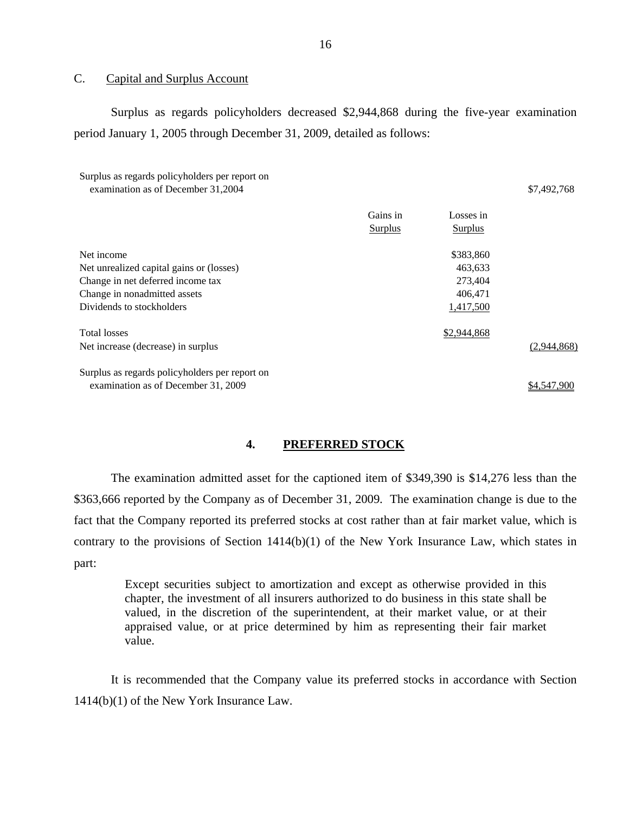#### C. Capital and Surplus Account

Surplus as regards policyholders decreased \$2,944,868 during the five-year examination period January 1, 2005 through December 31, 2009, detailed as follows:

| Surplus as regards policyholders per report on<br>examination as of December 31,2004 |          |             | \$7,492,768 |
|--------------------------------------------------------------------------------------|----------|-------------|-------------|
|                                                                                      | Gains in | Losses in   |             |
|                                                                                      | Surplus  | Surplus     |             |
| Net income                                                                           |          | \$383,860   |             |
| Net unrealized capital gains or (losses)                                             |          | 463,633     |             |
| Change in net deferred income tax                                                    |          | 273,404     |             |
| Change in nonadmitted assets                                                         |          | 406,471     |             |
| Dividends to stockholders                                                            |          | 1,417,500   |             |
| <b>Total losses</b>                                                                  |          | \$2,944,868 |             |
| Net increase (decrease) in surplus                                                   |          |             | (2,944,868) |
| Surplus as regards policyholders per report on                                       |          |             |             |
| examination as of December 31, 2009                                                  |          |             | \$4,547,900 |

#### **4. PREFERRED STOCK**

The examination admitted asset for the captioned item of \$349,390 is \$14,276 less than the \$363,666 reported by the Company as of December 31, 2009. The examination change is due to the fact that the Company reported its preferred stocks at cost rather than at fair market value, which is contrary to the provisions of Section 1414(b)(1) of the New York Insurance Law, which states in part:

Except securities subject to amortization and except as otherwise provided in this chapter, the investment of all insurers authorized to do business in this state shall be valued, in the discretion of the superintendent, at their market value, or at their appraised value, or at price determined by him as representing their fair market value.

It is recommended that the Company value its preferred stocks in accordance with Section 1414(b)(1) of the New York Insurance Law.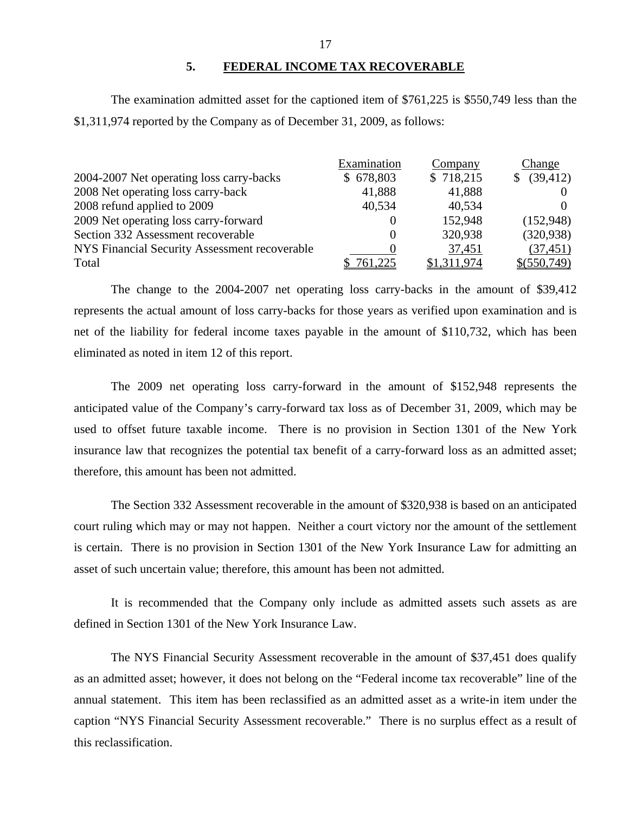#### **5. FEDERAL INCOME TAX RECOVERABLE**

The examination admitted asset for the captioned item of \$761,225 is \$550,749 less than the \$1,311,974 reported by the Company as of December 31, 2009, as follows:

|                                               | Examination | Company     | Change         |
|-----------------------------------------------|-------------|-------------|----------------|
| 2004-2007 Net operating loss carry-backs      | \$678,803   | \$718,215   | (39, 412)<br>S |
| 2008 Net operating loss carry-back            | 41,888      | 41,888      |                |
| 2008 refund applied to 2009                   | 40,534      | 40,534      |                |
| 2009 Net operating loss carry-forward         |             | 152,948     | (152,948)      |
| Section 332 Assessment recoverable            |             | 320,938     | (320, 938)     |
| NYS Financial Security Assessment recoverable |             | 37,451      | (37, 451)      |
| Total                                         | 761,225     | \$1,311,974 | \$ (550, 749)  |

The change to the 2004-2007 net operating loss carry-backs in the amount of \$39,412 represents the actual amount of loss carry-backs for those years as verified upon examination and is net of the liability for federal income taxes payable in the amount of \$110,732, which has been eliminated as noted in item 12 of this report.

The 2009 net operating loss carry-forward in the amount of \$152,948 represents the anticipated value of the Company's carry-forward tax loss as of December 31, 2009, which may be used to offset future taxable income. There is no provision in Section 1301 of the New York insurance law that recognizes the potential tax benefit of a carry-forward loss as an admitted asset; therefore, this amount has been not admitted.

The Section 332 Assessment recoverable in the amount of \$320,938 is based on an anticipated court ruling which may or may not happen. Neither a court victory nor the amount of the settlement is certain. There is no provision in Section 1301 of the New York Insurance Law for admitting an asset of such uncertain value; therefore, this amount has been not admitted.

It is recommended that the Company only include as admitted assets such assets as are defined in Section 1301 of the New York Insurance Law.

The NYS Financial Security Assessment recoverable in the amount of \$37,451 does qualify as an admitted asset; however, it does not belong on the "Federal income tax recoverable" line of the annual statement. This item has been reclassified as an admitted asset as a write-in item under the caption "NYS Financial Security Assessment recoverable." There is no surplus effect as a result of this reclassification.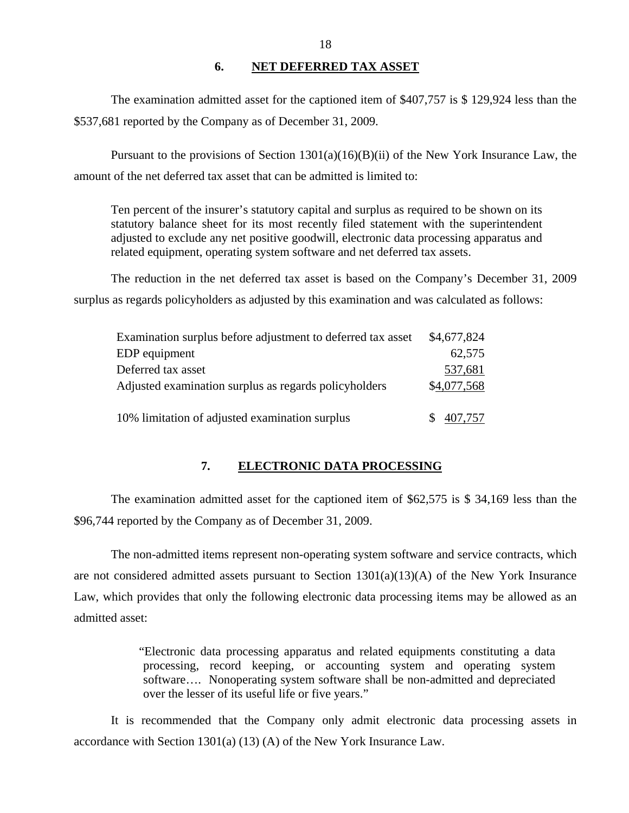#### **6. NET DEFERRED TAX ASSET**

The examination admitted asset for the captioned item of \$407,757 is \$ 129,924 less than the \$537,681 reported by the Company as of December 31, 2009.

Pursuant to the provisions of Section 1301(a)(16)(B)(ii) of the New York Insurance Law, the amount of the net deferred tax asset that can be admitted is limited to:

Ten percent of the insurer's statutory capital and surplus as required to be shown on its statutory balance sheet for its most recently filed statement with the superintendent adjusted to exclude any net positive goodwill, electronic data processing apparatus and related equipment, operating system software and net deferred tax assets.

The reduction in the net deferred tax asset is based on the Company's December 31, 2009 surplus as regards policyholders as adjusted by this examination and was calculated as follows:

| Examination surplus before adjustment to deferred tax asset | \$4,677,824 |
|-------------------------------------------------------------|-------------|
| EDP equipment                                               | 62,575      |
| Deferred tax asset                                          | 537,681     |
| Adjusted examination surplus as regards policyholders       | \$4,077,568 |
|                                                             |             |
| 10% limitation of adjusted examination surplus              | 407,757     |

## **7. ELECTRONIC DATA PROCESSING**

The examination admitted asset for the captioned item of \$62,575 is \$ 34,169 less than the \$96,744 reported by the Company as of December 31, 2009.

The non-admitted items represent non-operating system software and service contracts, which are not considered admitted assets pursuant to Section 1301(a)(13)(A) of the New York Insurance Law, which provides that only the following electronic data processing items may be allowed as an admitted asset:

> "Electronic data processing apparatus and related equipments constituting a data processing, record keeping, or accounting system and operating system software…. Nonoperating system software shall be non-admitted and depreciated over the lesser of its useful life or five years."

It is recommended that the Company only admit electronic data processing assets in accordance with Section 1301(a) (13) (A) of the New York Insurance Law.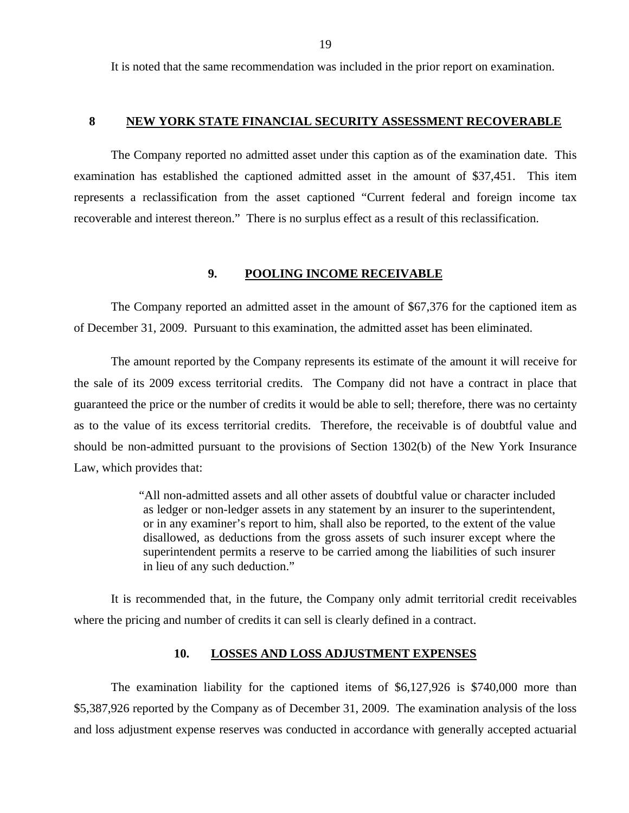<span id="page-20-0"></span>It is noted that the same recommendation was included in the prior report on examination.

#### **8 NEW YORK STATE FINANCIAL SECURITY ASSESSMENT RECOVERABLE**

The Company reported no admitted asset under this caption as of the examination date. This examination has established the captioned admitted asset in the amount of \$37,451. This item represents a reclassification from the asset captioned "Current federal and foreign income tax recoverable and interest thereon." There is no surplus effect as a result of this reclassification.

#### **9. POOLING INCOME RECEIVABLE**

The Company reported an admitted asset in the amount of \$67,376 for the captioned item as of December 31, 2009. Pursuant to this examination, the admitted asset has been eliminated.

The amount reported by the Company represents its estimate of the amount it will receive for the sale of its 2009 excess territorial credits. The Company did not have a contract in place that guaranteed the price or the number of credits it would be able to sell; therefore, there was no certainty as to the value of its excess territorial credits. Therefore, the receivable is of doubtful value and should be non-admitted pursuant to the provisions of Section 1302(b) of the New York Insurance Law, which provides that:

> "All non-admitted assets and all other assets of doubtful value or character included as ledger or non-ledger assets in any statement by an insurer to the superintendent, or in any examiner's report to him, shall also be reported, to the extent of the value disallowed, as deductions from the gross assets of such insurer except where the superintendent permits a reserve to be carried among the liabilities of such insurer in lieu of any such deduction."

It is recommended that, in the future, the Company only admit territorial credit receivables where the pricing and number of credits it can sell is clearly defined in a contract.

#### **10. LOSSES AND LOSS ADJUSTMENT EXPENSES**

The examination liability for the captioned items of \$6,127,926 is \$740,000 more than \$5,387,926 reported by the Company as of December 31, 2009. The examination analysis of the loss and loss adjustment expense reserves was conducted in accordance with generally accepted actuarial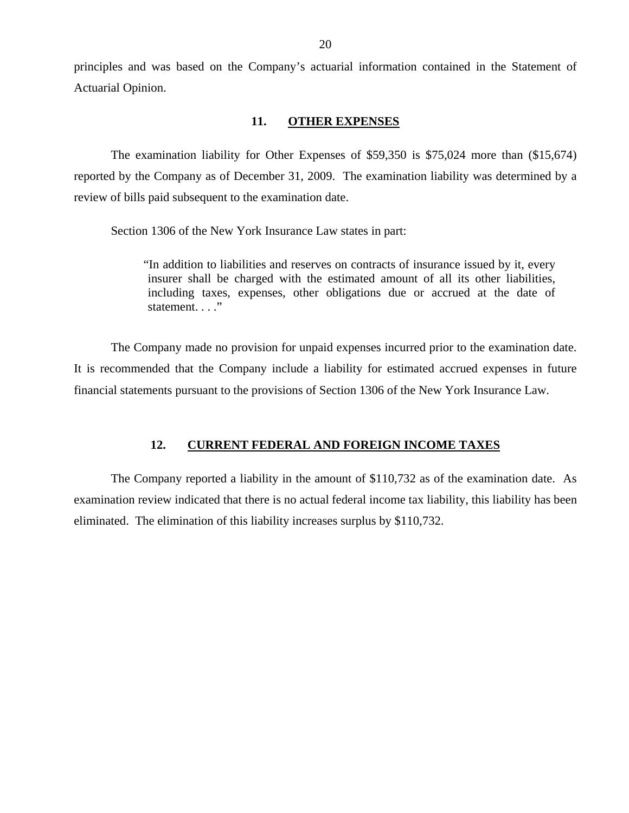<span id="page-21-0"></span>principles and was based on the Company's actuarial information contained in the Statement of Actuarial Opinion.

#### **11. OTHER EXPENSES**

The examination liability for Other Expenses of \$59,350 is \$75,024 more than (\$15,674) reported by the Company as of December 31, 2009. The examination liability was determined by a review of bills paid subsequent to the examination date.

Section 1306 of the New York Insurance Law states in part:

"In addition to liabilities and reserves on contracts of insurance issued by it, every insurer shall be charged with the estimated amount of all its other liabilities, including taxes, expenses, other obligations due or accrued at the date of statement. . . ."

The Company made no provision for unpaid expenses incurred prior to the examination date. It is recommended that the Company include a liability for estimated accrued expenses in future financial statements pursuant to the provisions of Section 1306 of the New York Insurance Law.

#### **12. CURRENT FEDERAL AND FOREIGN INCOME TAXES**

The Company reported a liability in the amount of \$110,732 as of the examination date. As examination review indicated that there is no actual federal income tax liability, this liability has been eliminated. The elimination of this liability increases surplus by \$110,732.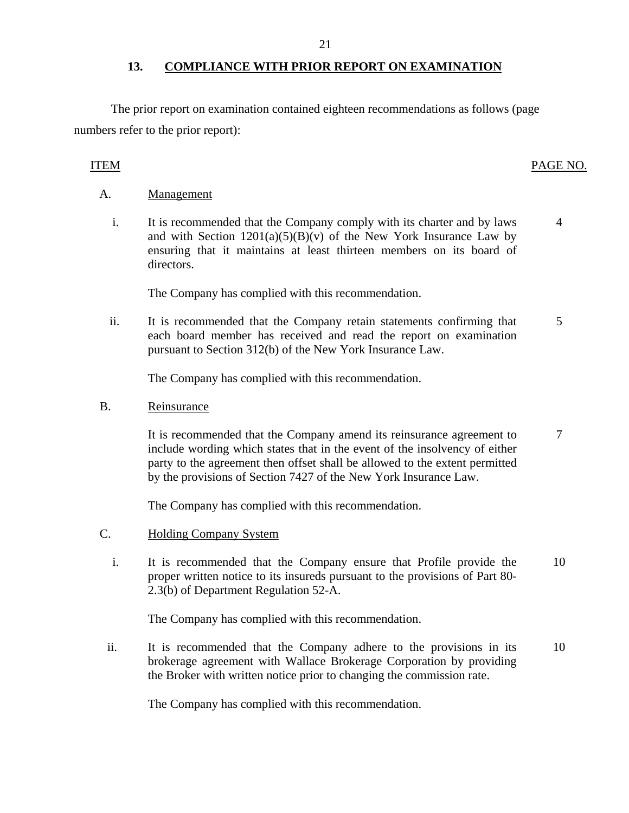#### **13. COMPLIANCE WITH PRIOR REPORT ON EXAMINATION**

The prior report on examination contained eighteen recommendations as follows (page numbers refer to the prior report):

## ITEM PAGE NO.

#### A. Management

i. It is recommended that the Company comply with its charter and by laws and with Section  $1201(a)(5)(B)(v)$  of the New York Insurance Law by ensuring that it maintains at least thirteen members on its board of directors. 4

The Company has complied with this recommendation.

ii. It is recommended that the Company retain statements confirming that each board member has received and read the report on examination pursuant to Section 312(b) of the New York Insurance Law. 5

The Company has complied with this recommendation.

B. Reinsurance

It is recommended that the Company amend its reinsurance agreement to include wording which states that in the event of the insolvency of either party to the agreement then offset shall be allowed to the extent permitted by the provisions of Section 7427 of the New York Insurance Law. 7

The Company has complied with this recommendation.

- C. Holding Company System
	- i. It is recommended that the Company ensure that Profile provide the proper written notice to its insureds pursuant to the provisions of Part 80- 2.3(b) of Department Regulation 52-A. 10

The Company has complied with this recommendation.

ii. It is recommended that the Company adhere to the provisions in its brokerage agreement with Wallace Brokerage Corporation by providing the Broker with written notice prior to changing the commission rate. 10

The Company has complied with this recommendation.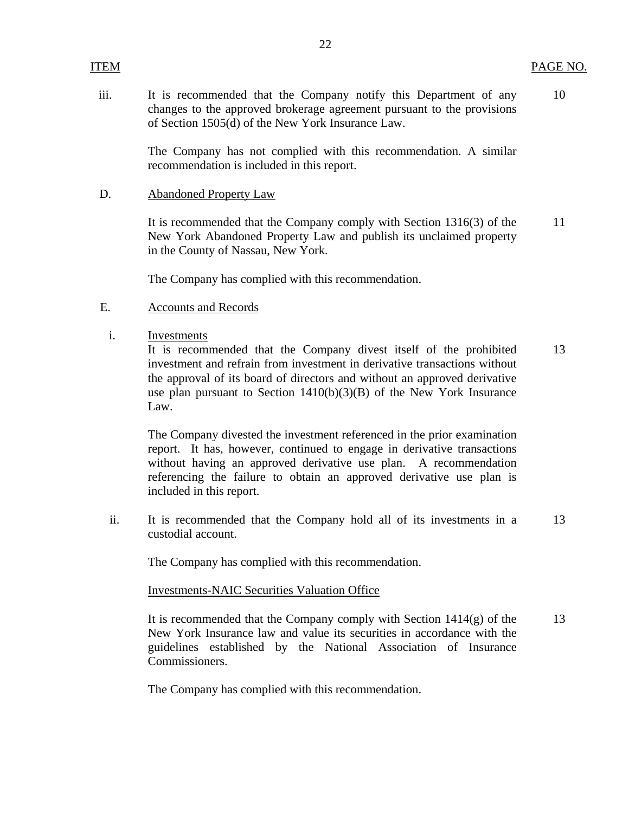iii. It is recommended that the Company notify this Department of any changes to the approved brokerage agreement pursuant to the provisions of Section 1505(d) of the New York Insurance Law. 10

22

The Company has not complied with this recommendation. A similar recommendation is included in this report.

#### D. Abandoned Property Law

It is recommended that the Company comply with Section 1316(3) of the New York Abandoned Property Law and publish its unclaimed property in the County of Nassau, New York. 11

The Company has complied with this recommendation.

- E. Accounts and Records
- i. Investments

It is recommended that the Company divest itself of the prohibited investment and refrain from investment in derivative transactions without the approval of its board of directors and without an approved derivative use plan pursuant to Section 1410(b)(3)(B) of the New York Insurance Law. 13

The Company divested the investment referenced in the prior examination report. It has, however, continued to engage in derivative transactions without having an approved derivative use plan. A recommendation referencing the failure to obtain an approved derivative use plan is included in this report.

ii. It is recommended that the Company hold all of its investments in a custodial account. 13

The Company has complied with this recommendation.

#### Investments-NAIC Securities Valuation Office

It is recommended that the Company comply with Section  $1414(g)$  of the New York Insurance law and value its securities in accordance with the guidelines established by the National Association of Insurance Commissioners. 13

The Company has complied with this recommendation.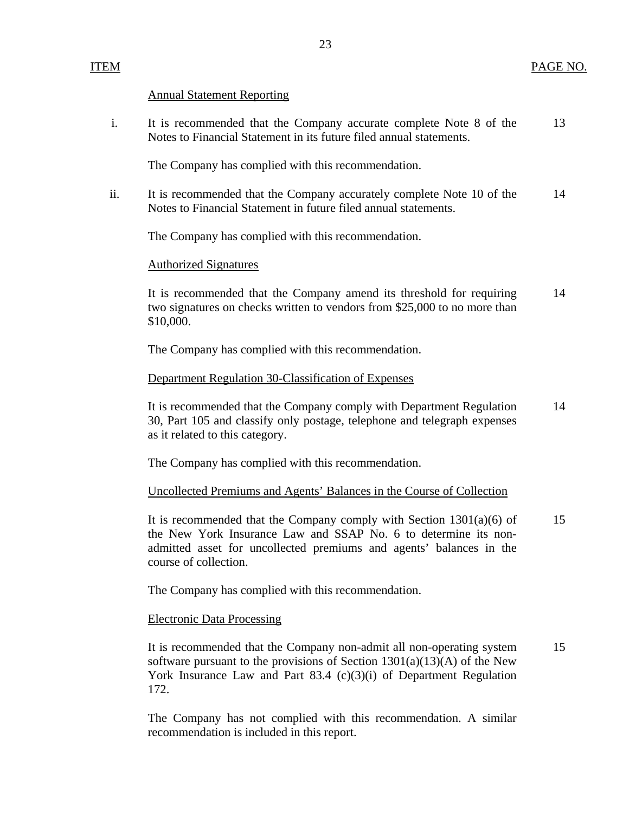#### Annual Statement Reporting

| It is recommended that the Company accurate complete Note 8 of the  | 13 |
|---------------------------------------------------------------------|----|
| Notes to Financial Statement in its future filed annual statements. |    |

The Company has complied with this recommendation.

ii. It is recommended that the Company accurately complete Note 10 of the 14 Notes to Financial Statement in future filed annual statements.

The Company has complied with this recommendation.

#### Authorized Signatures

It is recommended that the Company amend its threshold for requiring 14 two signatures on checks written to vendors from \$25,000 to no more than \$10,000.

The Company has complied with this recommendation.

#### Department Regulation 30-Classification of Expenses

It is recommended that the Company comply with Department Regulation 14 30, Part 105 and classify only postage, telephone and telegraph expenses as it related to this category.

The Company has complied with this recommendation.

#### Uncollected Premiums and Agents' Balances in the Course of Collection

It is recommended that the Company comply with Section  $1301(a)(6)$  of 15 the New York Insurance Law and SSAP No. 6 to determine its nonadmitted asset for uncollected premiums and agents' balances in the course of collection.

The Company has complied with this recommendation.

#### Electronic Data Processing

It is recommended that the Company non-admit all non-operating system 15 software pursuant to the provisions of Section  $1301(a)(13)(A)$  of the New York Insurance Law and Part 83.4 (c)(3)(i) of Department Regulation 172.

The Company has not complied with this recommendation. A similar recommendation is included in this report.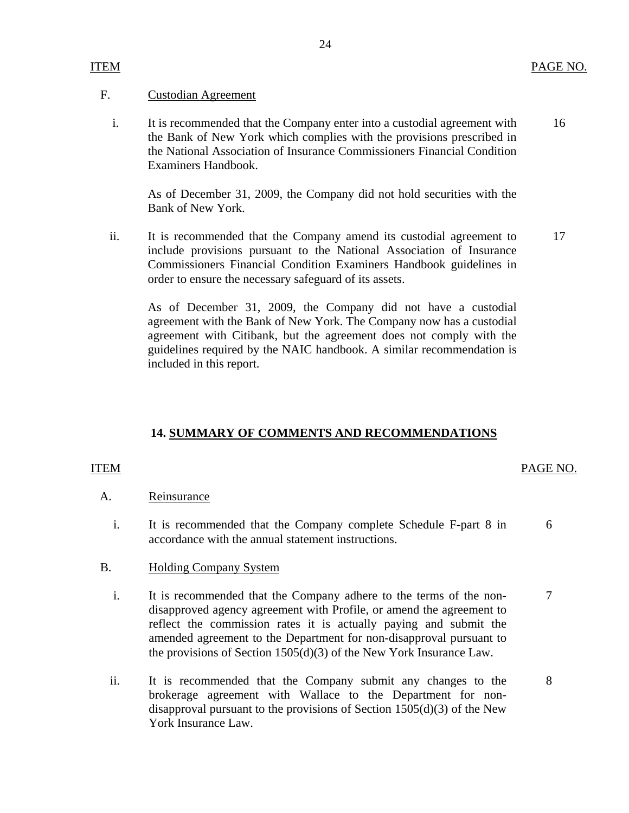### <span id="page-25-0"></span>F. Custodian Agreement

i. It is recommended that the Company enter into a custodial agreement with 16 the Bank of New York which complies with the provisions prescribed in the National Association of Insurance Commissioners Financial Condition Examiners Handbook.

As of December 31, 2009, the Company did not hold securities with the Bank of New York.

ii. It is recommended that the Company amend its custodial agreement to 17 include provisions pursuant to the National Association of Insurance Commissioners Financial Condition Examiners Handbook guidelines in order to ensure the necessary safeguard of its assets.

As of December 31, 2009, the Company did not have a custodial agreement with the Bank of New York. The Company now has a custodial agreement with Citibank, but the agreement does not comply with the guidelines required by the NAIC handbook. A similar recommendation is included in this report.

#### **14. SUMMARY OF COMMENTS AND RECOMMENDATIONS**

#### ITEM PAGE NO.

#### A. Reinsurance

i. It is recommended that the Company complete Schedule F-part 8 in 6 accordance with the annual statement instructions.

#### B. Holding Company System

- i. It is recommended that the Company adhere to the terms of the non- 7 disapproved agency agreement with Profile, or amend the agreement to reflect the commission rates it is actually paying and submit the amended agreement to the Department for non-disapproval pursuant to the provisions of Section 1505(d)(3) of the New York Insurance Law.
- ii. It is recommended that the Company submit any changes to the 8 brokerage agreement with Wallace to the Department for nondisapproval pursuant to the provisions of Section  $1505(d)(3)$  of the New York Insurance Law.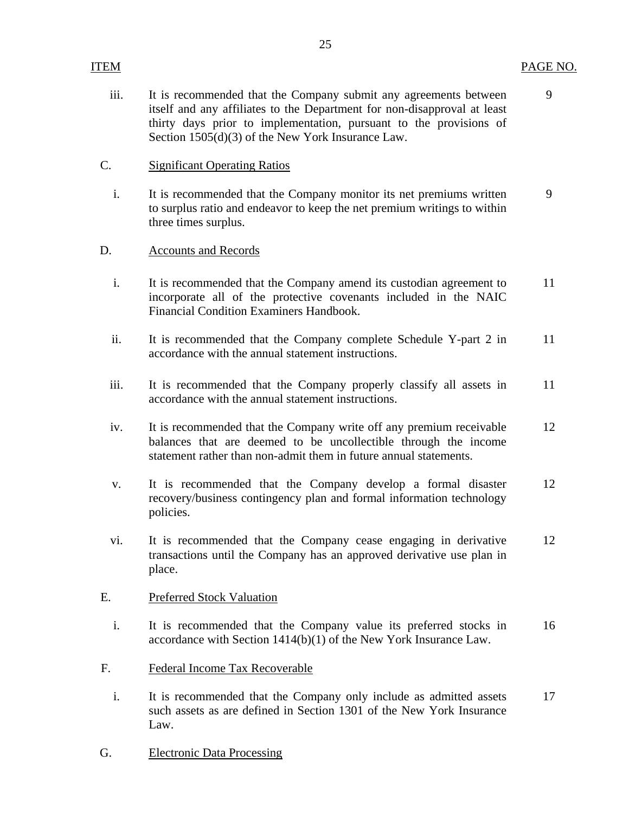### ITEM PAGE NO.

iii. It is recommended that the Company submit any agreements between 9 itself and any affiliates to the Department for non-disapproval at least thirty days prior to implementation, pursuant to the provisions of Section 1505(d)(3) of the New York Insurance Law.

### C. Significant Operating Ratios

i. It is recommended that the Company monitor its net premiums written 9 to surplus ratio and endeavor to keep the net premium writings to within three times surplus.

#### D. Accounts and Records

- i. It is recommended that the Company amend its custodian agreement to 11 incorporate all of the protective covenants included in the NAIC Financial Condition Examiners Handbook.
- ii. It is recommended that the Company complete Schedule Y-part 2 in 11 accordance with the annual statement instructions.
- iii. It is recommended that the Company properly classify all assets in 11 accordance with the annual statement instructions.
- iv. It is recommended that the Company write off any premium receivable 12 balances that are deemed to be uncollectible through the income statement rather than non-admit them in future annual statements.
- v. It is recommended that the Company develop a formal disaster 12 recovery/business contingency plan and formal information technology policies.
- vi. It is recommended that the Company cease engaging in derivative 12 transactions until the Company has an approved derivative use plan in place.

#### E. Preferred Stock Valuation

- i. It is recommended that the Company value its preferred stocks in 16 accordance with Section 1414(b)(1) of the New York Insurance Law.
- F. Federal Income Tax Recoverable
	- i. It is recommended that the Company only include as admitted assets 17 such assets as are defined in Section 1301 of the New York Insurance Law.
- G. Electronic Data Processing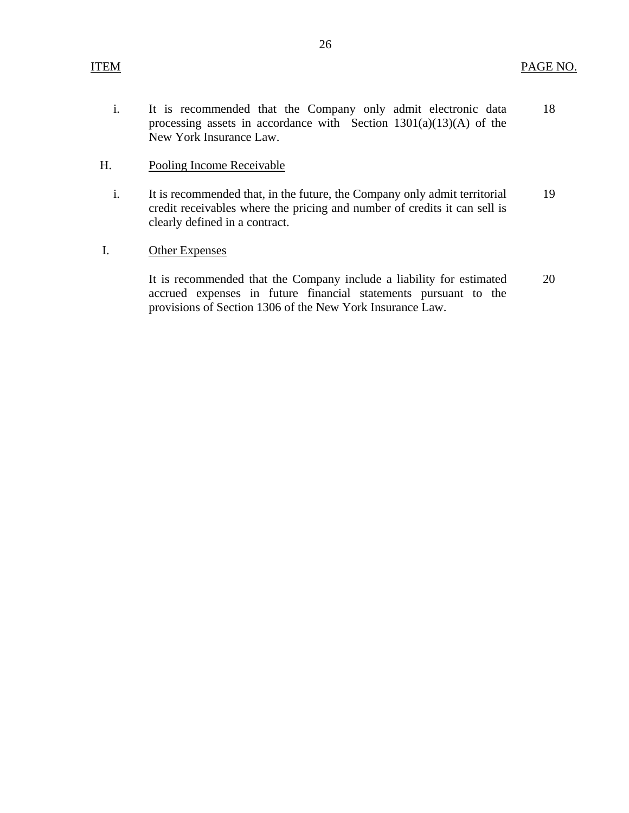i. It is recommended that the Company only admit electronic data processing assets in accordance with Section  $1301(a)(13)(A)$  of the New York Insurance Law. 18

### H. Pooling Income Receivable

- i. It is recommended that, in the future, the Company only admit territorial credit receivables where the pricing and number of credits it can sell is clearly defined in a contract. 19
- I. Other Expenses

It is recommended that the Company include a liability for estimated accrued expenses in future financial statements pursuant to the provisions of Section 1306 of the New York Insurance Law. 20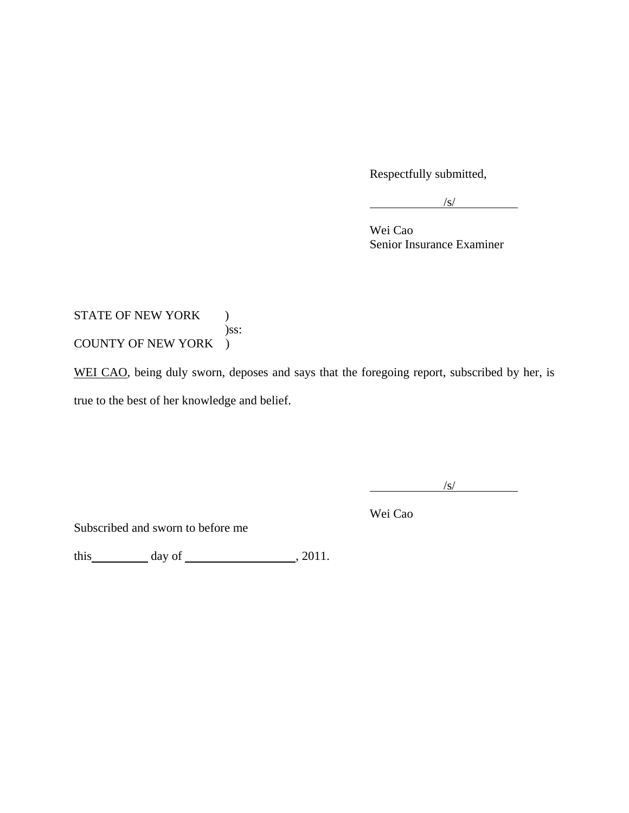Respectfully submitted,

 $\sqrt{s/}$ 

 Wei Cao Senior Insurance Examiner

## STATE OF NEW YORK ) )ss: COUNTY OF NEW YORK )

WEI CAO, being duly sworn, deposes and says that the foregoing report, subscribed by her, is true to the best of her knowledge and belief.

 $\frac{1}{\sqrt{S}}$ 

Wei Cao

Subscribed and sworn to before me

this  $\_\_\_\_\_$  day of  $\_\_\_\_\_\_$ , 2011.